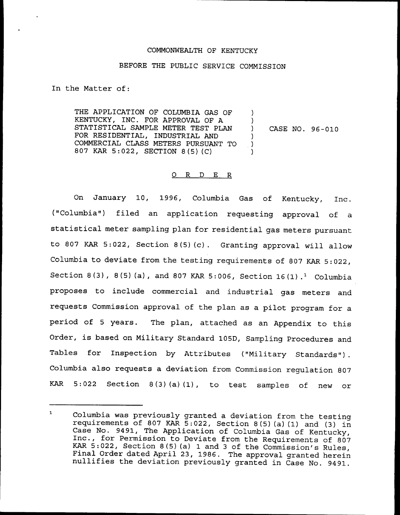### COMMONWEALTH OF KENTUCKY

# BEFORE THE PUBLIC SERVICE COMMISSION

In the Matter of:

THE APPLICATION OF COLUMBIA GAS OF KENTUCKY, INC. FOR APPROVAL OF A STATISTICAL SAMPLE METER TEST PLAN FOR RESIDENTIAL, INDUSTRIAL AND COMMERCIAL CLASS METERS PURSUANT TO 807 KAR 5:022, SECTION <sup>8</sup> (5) (C) )  $\left\{ \begin{array}{c} 1 \\ 2 \end{array} \right\}$ ) CASE NO. 96-010 ) ) )

#### 0 R <sup>D</sup> E R

On January 10, 1996, Columbia Gas of Kentucky, Inc. ("Columbia") filed an application requesting approval of a statistical meter sampling plan for residential gas meters pursuant to <sup>807</sup> KAR 5:022, Section 8(5)(c}. Granting approval will allow Columbia to deviate from the testing requirements of <sup>807</sup> KAR 5:022, Section 8(3), 8(5)(a), and 807 KAR 5:006, Section 16(1).<sup>1</sup> Columbia proposes to include commercial and industrial gas meters and requests Commission approval of the plan as a pilot program for a period of <sup>5</sup> years. The plan, attached as an Appendix to this Order, is based on Military Standard 105D, Sampling Procedures and Tables for Inspection by Attributes ("Military Standards"). Columbia also requests a deviation from Commission regulation 807 KAR 5:022 Section 8(3}(a)(1}, to test samples of new or

 $\mathbf{1}$ Columbia was previously granted a deviation from the testing<br>requirements of 807 KAR 5:022, Section 8(5)(a)(1) and (3) in<br>Case No. 9491, The Application of Columbia Gas of Kentucky,<br>Inc., for Permission to Deviate from the KAR 5:022, Section 8(5)(a) <sup>1</sup> and <sup>3</sup> of the Commission's Rules, Final Order dated April 23, 1986. The approval granted herein nullifies the deviation previously granted in Case No. 9491.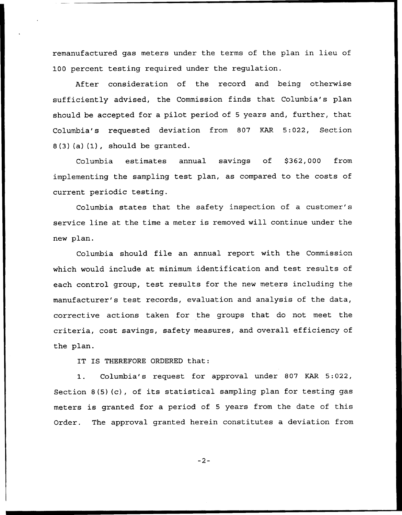remanufactured gas meters under the terms of the plan in lieu of 100 percent testing required under the regulation.

After consideration of the record and being otherwise sufficiently advised, the Commission finds that Columbia's plan should be accepted for a pilot period of <sup>5</sup> years and, further, that Columbia's requested deviation from 807 KAR 5:022, Section  $8(3)(a)(1)$ , should be granted.

Columbia estimates annual savings of \$362,000 from implementing the sampling test plan, as compared to the costs of current periodic testing.

Columbia states that the safety inspection of a customer' service line at the time a meter is removed will continue under the new plan.

Columbia should file an annual report with the Commission which would include at minimum identification and test results of each control group, test results for the new meters including the manufacturer's test records, evaluation and analysis of the data, corrective actions taken for the groups that do not meet the criteria, cost savings, safety measures, and overall efficiency of the plan.

IT IS THEREFORE ORDERED that:

1. Columbia's request for approval under <sup>807</sup> KAR 5:022, Section 8(5)(c), of its statistical sampling plan for testing gas meters is granted for a period of <sup>5</sup> years from the date of this Order. The approval granted herein constitutes a deviation from

 $-2-$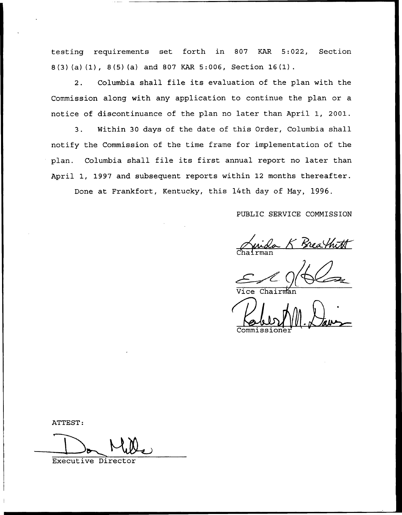testing requirements set forth in 807 KAR 5:022, Section <sup>8</sup> {3)(a) (1), 8(5) {a) and 807 KAR 5:006, Section 16(1).

2. Columbia shall file its evaluation of the plan with the Commission along with any application to continue the plan or a notice of discontinuance of the plan no later than April 1, 2001.

3. Within 30 days of the date of this Order, Columbia shall notify the Commission of the time frame for implementation of the plan. Columbia shall file its first annual report no later than April 1, 1997 and subsequent reports within 12 months thereafter.

Done at Frankfort, Kentucky, this 14th day of Nay, 1996.

PUBLIC SERVICE COMMISSION

PUBLIC SERVICE COMMISSION<br>Chairman

 $\overline{\mathtt{Vice}}$  Chai

Commissione

ATTEST:

Executive Director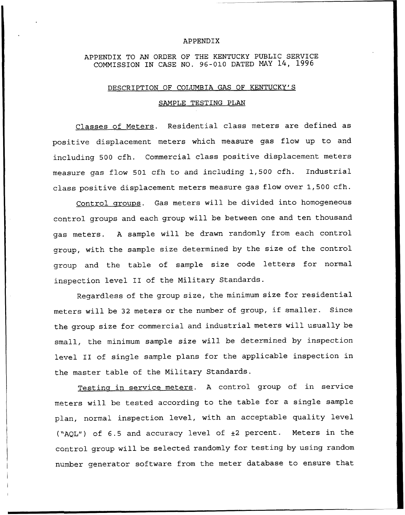#### APPENDIX

# APPENDIX TO AN ORDER OF THE KENTUCKY PUBLIC SERUICE COMMISSION IN CASE NO. 96-010 DATED MAY 14, 1996

### DESCRIPTION OF COLUMBIA GAS OF KENTUCKY'S

#### SAMPLE TESTING PLAN

Classes of Meters. Residential class meters are defined as positive displacement meters which measure gas flow up to and including 500 cfh. Commercial class positive displacement meters measure gas flow 501 cfh to and including 1,500 cfh. Industrial class positive displacement meters measure gas flow over 1,500 cfh.

Control groups. Gas meters will be divided into homogeneous control groups and each group will be between one and ten thousand gas meters. <sup>A</sup> sample will be drawn randomly from each control group, with the sample size determined by the size of the control group and the table of sample size code letters for normal inspection level II of the Military Standards.

Regardless of the group size, the minimum size for residential meters will be <sup>32</sup> meters or the number of group, if smaller. Since the group size for commercial and industrial meters will usually be small, the minimum sample size will be determined by inspection level II of single sample plans for the applicable inspection in the master table of the Military Standards.

Testing in service meters. <sup>A</sup> control group of in service meters will be tested according to the table for a single sample plan, normal inspection level, with an acceptable quality level ("AQL") of 6.5 and accuracy level of  $\pm 2$  percent. Meters in the control group will be selected randomly for testing by using random number generator software from the meter database to ensure that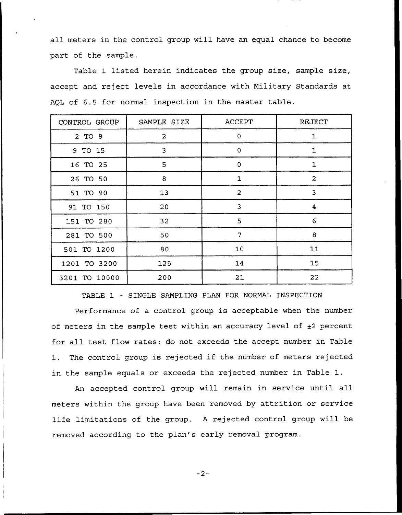all meters in the control group will have an equal chance to become part of the sample.

Table 1 listed herein indicates the group size, sample size, accept and reject levels in accordance with Military Standards at AQL of 6.5 for normal inspection in the master table.

| CONTROL GROUP | SAMPLE SIZE    | <b>ACCEPT</b>  | <b>REJECT</b>  |
|---------------|----------------|----------------|----------------|
| 2 TO 8        | $\overline{a}$ | $\circ$        | 1              |
| 9 TO 15       | 3              | $\mathbf 0$    | 1              |
| 16 TO 25      | 5              | $\mathbf 0$    | 1              |
| 26 TO 50      | 8              | $\mathbf{1}$   | $\overline{a}$ |
| 51 TO 90      | 13             | $\overline{2}$ | 3              |
| 91 TO 150     | 20             | 3              | 4              |
| 151 TO 280    | 32             | 5              | 6              |
| 281 TO 500    | 50             | 7              | 8              |
| 501 TO 1200   | 80             | 10             | 11             |
| 1201 TO 3200  | 125            | 14             | 15             |
| 3201 TO 10000 | 200            | 21             | 22             |

TABLE 1 — SINGLE SAMPLING PLAN FOR NORMAL INSPECTION

Performance of a control group is acceptable when the number of meters in the sample test within an accuracy level of  $\pm 2$  percent for all test flow rates: do not exceeds the accept number in Table 1. The control group is rejected if the number of meters rejected in the sample equals or exceeds the rejected number in Table 1.

An accepted control group will remain in service until all meters within the group have been removed by attrition or service life limitations of the group. <sup>A</sup> rejected control group will be removed according to the plan's early removal program.

 $-2-$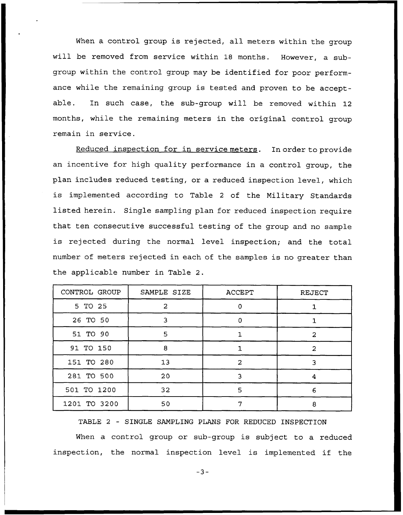When a control group is rejected, all meters within the group will be removed from service within 18 months. However, a subgroup within the control group may be identified for poor performance while the remaining group is tested and proven to be acceptable. In such case, the sub-group will be removed within 12 months, while the remaining meters in the original control group remain in service.

Reduced inspection for in service meters. In order to provide an incentive for high quality performance in a control group, the plan includes reduced testing, or a reduced inspection level, which is implemented according to Table <sup>2</sup> of the Military Standards listed herein. Single sampling plan for reduced inspection require that ten consecutive successful testing of the group and no sample is rejected during the normal level inspection; and the total number of meters rejected in each of the samples is no greater than the applicable number in Table 2.

| CONTROL GROUP | SAMPLE SIZE     | <b>ACCEPT</b> | REJECT |
|---------------|-----------------|---------------|--------|
| 5 TO 25       | 2               | $\Omega$      |        |
| 26 TO 50      |                 | $\Omega$      |        |
| 51 TO 90      | 5               |               | 2      |
| 91 TO 150     | 8               |               | 2      |
| 151 TO 280    | 13              | $\mathbf{z}$  |        |
| 281 TO 500    | 20              | ີ             | 4      |
| 501 TO 1200   | 32 <sub>2</sub> | 5             | 6      |
| 1201 TO 3200  | 50              |               | 8      |

TABLE 2 — SINGLE SAMPLING PLANS FOR REDUCED INSPECTION When a control group or sub-group is subject to a reduced inspection, the normal inspection level is implemented if the

 $-3-$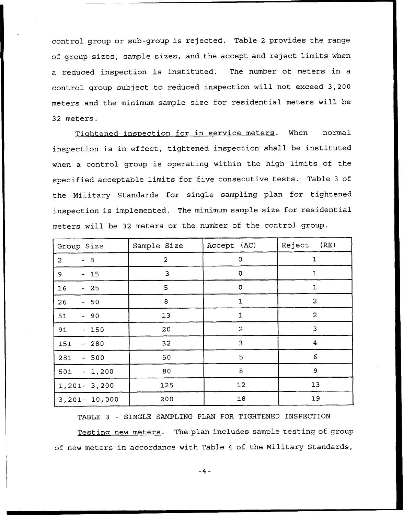control group or sub-group is rejected. Table <sup>2</sup> provides the range of group sizes, sample sizes, and the accept and reject limits when a reduced inspection is instituted. The number of meters in a control group subject to reduced inspection will not exceed 3,200 meters and the minimum sample size for residential meters will be 32 meters.

Tightened inspection for in service meters. When normal inspection is in effect, tightened inspection shall be instituted when a control group is operating within the high limits of the specified acceptable limits for five consecutive tests. Table <sup>3</sup> of the Military Standards for single sampling plan for tightened inspection is implemented. The minimum sample size for residential meters will be 32 meters or the number of the control group.

| Group Size       | Sample Size    | Accept (AC)         | (RE)<br>Reject |
|------------------|----------------|---------------------|----------------|
| $-8$<br>2        | $\overline{a}$ | $\pmb{\mathsf{O}}$  | $\mathbf 1$    |
| $-15$<br>9       | 3              | $\pmb{0}$           | 1              |
| 16<br>$-25$      | 5              | $\mathsf{O}\xspace$ | 1              |
| 26<br>$-50$      | 8              | 1                   | $\overline{2}$ |
| 51<br>$-90$      | 13             | 1                   | $\overline{a}$ |
| 91<br>$-150$     | 20             | $\overline{a}$      | 3              |
| $-280$<br>151    | 32             | 3                   | 4              |
| 281<br>$-500$    | 50             | 5                   | 6              |
| $-1,200$<br>501  | 80             | 8                   | 9              |
| $1,201 - 3,200$  | 125            | 12                  | 13             |
| $3,201 - 10,000$ | 200            | $18$                | 19             |

TABLE 3 - SINGLE SAMPLING PLAN FOR TIGHTENED INSPECTION

Testing new meters. The plan includes sample testing of group of new meters in accordance with Table <sup>4</sup> of the Military Standards,

 $-4-$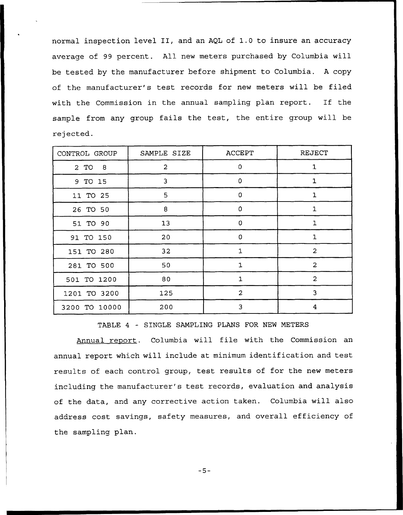normal inspection level II, and an AQL of 1.0 to insure an accuracy average of 99 percent. All new meters purchased by Columbia will be tested by the manufacturer before shipment to Columbia. <sup>A</sup> copy of the manufacturer's test records for new meters will be filed with the Commission in the annual sampling plan report. If the sample from any group fails the test, the entire group will be rejected.

| CONTROL GROUP | SAMPLE SIZE    | <b>ACCEPT</b>  | REJECT         |
|---------------|----------------|----------------|----------------|
| 2 TO 8        | $\overline{a}$ | $\circ$        | 1              |
| 9 TO 15       | 3              | 0              | 1              |
| 11 TO 25      | 5              | 0              | $\mathbf 1$    |
| 26 TO 50      | 8              | 0              | 1              |
| 51 TO 90      | 13             | 0              | $\mathbf{1}$   |
| 91 TO 150     | 20             | $\Omega$       | 1              |
| 151 TO 280    | 32             | $\mathbf{1}$   | $\overline{a}$ |
| 281 TO 500    | 50             | $\mathbf{1}$   | $\overline{a}$ |
| 501 TO 1200   | 80             | $\mathbf{1}$   | $\overline{2}$ |
| 1201 TO 3200  | 125            | $\overline{2}$ | 3              |
| 3200 TO 10000 | 200            | 3              | 4              |

TABLE <sup>4</sup> - SINGLE SAMPLING PLANS FOR NEW METERS

Annual report. Columbia will file with the Commission an annual report which will include at minimum identification and test results of each control group, test results of for the new meters including the manufacturer's test records, evaluation and analysis of the data, and any corrective action taken. Columbia will also address cost savings, safety measures, and overall efficiency of the sampling plan.

 $-5-$